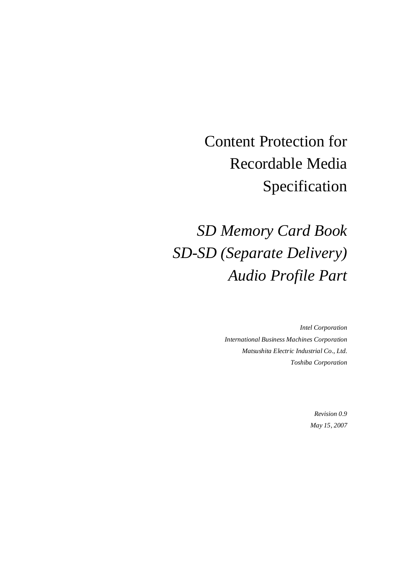# Content Protection for Recordable Media Specification

# *SD Memory Card Book SD-SD (Separate Delivery) Audio Profile Part*

*Intel Corporation International Business Machines Corporation Matsushita Electric Industrial Co., Ltd. Toshiba Corporation*

> *Revision 0.9 May 15, 2007*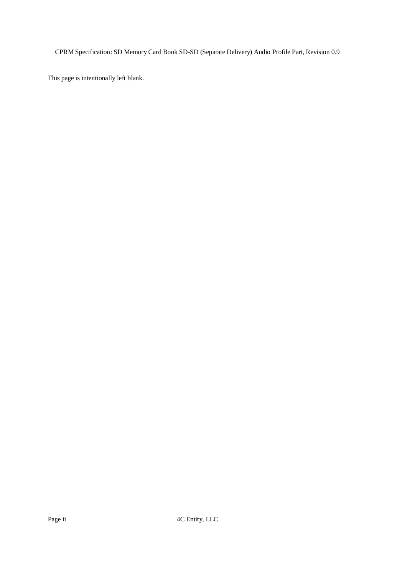This page is intentionally left blank.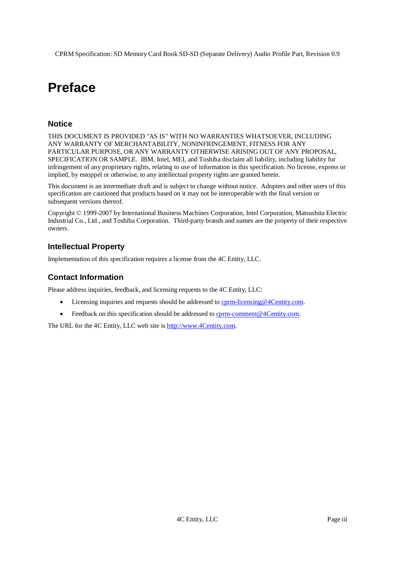## **Preface**

## **Notice**

THIS DOCUMENT IS PROVIDED "AS IS" WITH NO WARRANTIES WHATSOEVER, INCLUDING ANY WARRANTY OF MERCHANTABILITY, NONINFRINGEMENT, FITNESS FOR ANY PARTICULAR PURPOSE, OR ANY WARRANTY OTHERWISE ARISING OUT OF ANY PROPOSAL, SPECIFICATION OR SAMPLE. IBM, Intel, MEI, and Toshiba disclaim all liability, including liability for infringement of any proprietary rights, relating to use of information in this specification. No license, express or implied, by estoppel or otherwise, to any intellectual property rights are granted herein.

This document is an intermediate draft and is subject to change without notice. Adopters and other users of this specification are cautioned that products based on it may not be interoperable with the final version or subsequent versions thereof.

Copyright © 1999-2007 by International Business Machines Corporation, Intel Corporation, Matsushita Electric Industrial Co., Ltd., and Toshiba Corporation. Third-party brands and names are the property of their respective owners.

## **Intellectual Property**

Implementation of this specification requires a license from the 4C Entity, LLC.

## **Contact Information**

Please address inquiries, feedback, and licensing requests to the 4C Entity, LLC:

- · Licensing inquiries and requests should be addressed to cprm-licensing@4Centity.com.
- Feedback on this specification should be addressed to cprm-comment  $@$  4 Centity.com.

The URL for the 4C Entity, LLC web site is http://www.4Centity.com.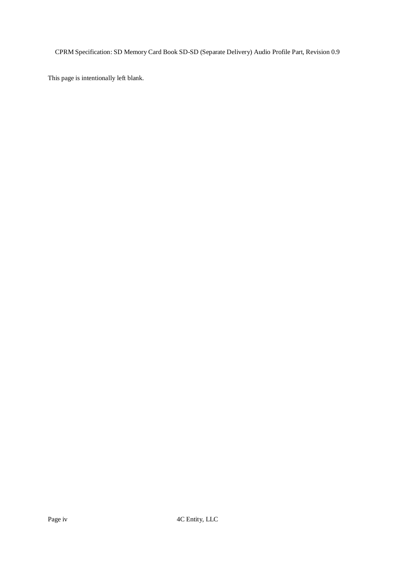This page is intentionally left blank.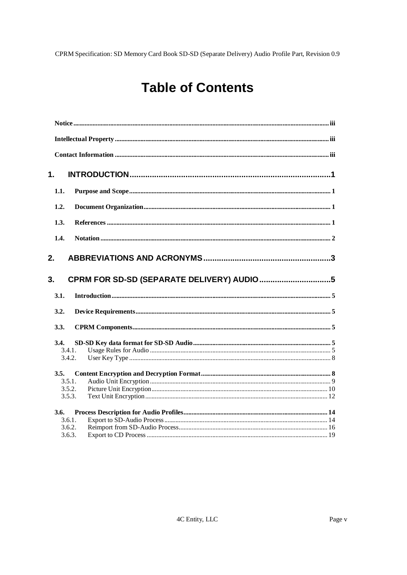## **Table of Contents**

| 1.   |                                            |  |
|------|--------------------------------------------|--|
| 1.1. |                                            |  |
| 1.2. |                                            |  |
| 1.3. |                                            |  |
| 1.4. |                                            |  |
| 2.   |                                            |  |
|      |                                            |  |
|      |                                            |  |
| 3.   | CPRM FOR SD-SD (SEPARATE DELIVERY) AUDIO 5 |  |
| 3.1. |                                            |  |
| 3.2. |                                            |  |
| 3.3. |                                            |  |
| 3.4. |                                            |  |
|      | 3.4.1.                                     |  |
|      | 3.4.2.                                     |  |
| 3.5. |                                            |  |
|      | 3.5.1.                                     |  |
|      |                                            |  |
|      | 3.5.2.<br>3.5.3.                           |  |
| 3.6. |                                            |  |
|      | 3.6.1.                                     |  |
|      | 3.6.2.                                     |  |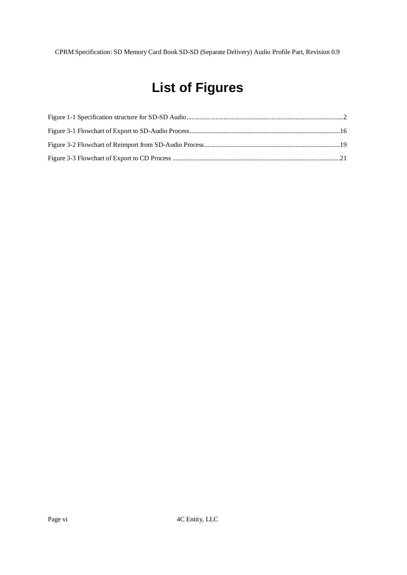## **List of Figures**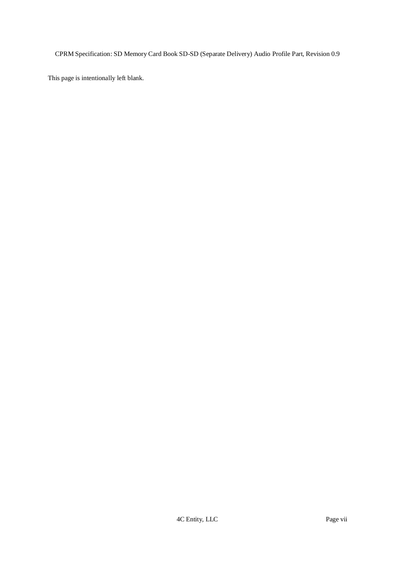This page is intentionally left blank.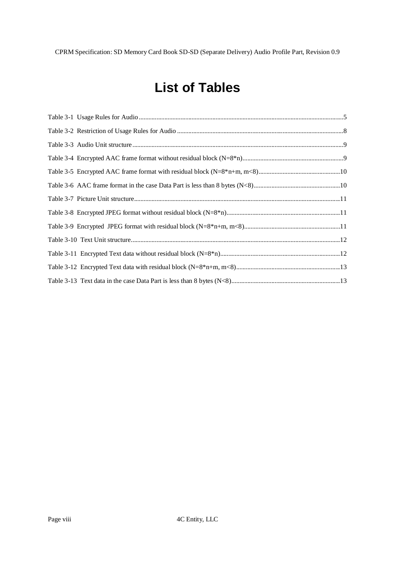## **List of Tables**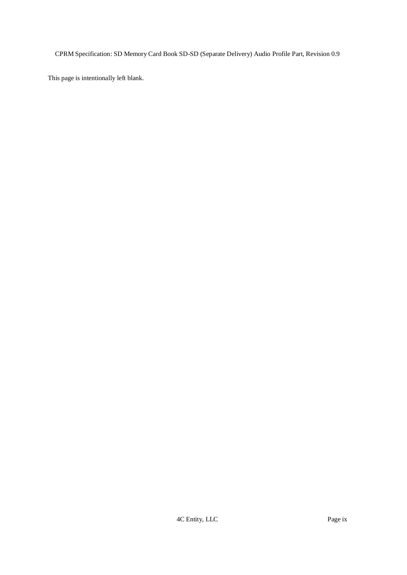This page is intentionally left blank.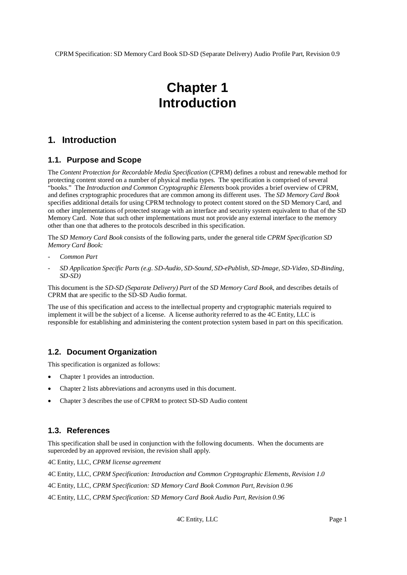## **Chapter 1 Introduction**

## **1. Introduction**

### **1.1. Purpose and Scope**

The *Content Protection for Recordable Media Specification* (CPRM) defines a robust and renewable method for protecting content stored on a number of physical media types. The specification is comprised of several "books." The *Introduction and Common Cryptographic Elements* book provides a brief overview of CPRM, and defines cryptographic procedures that are common among its different uses. The *SD Memory Card Book* specifies additional details for using CPRM technology to protect content stored on the SD Memory Card, and on other implementations of protected storage with an interface and security system equivalent to that of the SD Memory Card. Note that such other implementations must not provide any external interface to the memory other than one that adheres to the protocols described in this specification.

The *SD Memory Card Book* consists of the following parts, under the general title *CPRM Specification SD Memory Card Book:*

- *Common Part*
- *SD Application Specific Parts (e.g. SD-Audio, SD-Sound, SD-ePublish, SD-Image, SD-Video, SD-Binding, SD-SD)*

This document is the *SD-SD (Separate Delivery) Part* of the *SD Memory Card Book,* and describes details of CPRM that are specific to the SD-SD Audio format.

The use of this specification and access to the intellectual property and cryptographic materials required to implement it will be the subject of a license. A license authority referred to as the 4C Entity, LLC is responsible for establishing and administering the content protection system based in part on this specification.

## **1.2. Document Organization**

This specification is organized as follows:

- Chapter 1 provides an introduction.
- · Chapter 2 lists abbreviations and acronyms used in this document.
- · Chapter 3 describes the use of CPRM to protect SD-SD Audio content

#### **1.3. References**

This specification shall be used in conjunction with the following documents. When the documents are superceded by an approved revision, the revision shall apply.

4C Entity, LLC, *CPRM license agreement*

4C Entity, LLC, *CPRM Specification: Introduction and Common Cryptographic Elements, Revision 1.0*

4C Entity, LLC, *CPRM Specification: SD Memory Card Book Common Part, Revision 0.96*

4C Entity, LLC, *CPRM Specification: SD Memory Card Book Audio Part, Revision 0.96*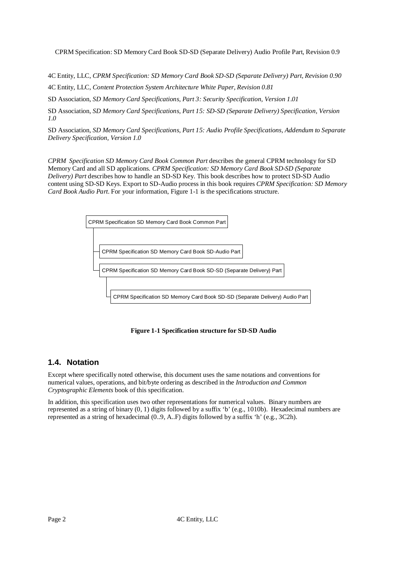4C Entity, LLC, *CPRM Specification: SD Memory Card Book SD-SD (Separate Delivery) Part, Revision 0.90* 4C Entity, LLC, *Content Protection System Architecture White Paper, Revision 0.81*

SD Association, *SD Memory Card Specifications, Part 3: Security Specification, Version 1.01*

SD Association, *SD Memory Card Specifications, Part 15: SD-SD (Separate Delivery) Specification, Version 1.0*

SD Association, *SD Memory Card Specifications, Part 15: Audio Profile Specifications, Addendum to Separate Delivery Specification, Version 1.0* 

*CPRM Specification SD Memory Card Book Common Part* describes the general CPRM technology for SD Memory Card and all SD applications. *CPRM Specification: SD Memory Card Book SD-SD (Separate Delivery) Part* describes how to handle an SD-SD Key. This book describes how to protect SD-SD Audio content using SD-SD Keys. Export to SD-Audio process in this book requires *CPRM Specification: SD Memory Card Book Audio Part*. For your information, Figure 1-1 is the specifications structure.



**Figure 1-1 Specification structure for SD-SD Audio**

### **1.4. Notation**

Except where specifically noted otherwise, this document uses the same notations and conventions for numerical values, operations, and bit/byte ordering as described in the *Introduction and Common Cryptographic Elements* book of this specification.

In addition, this specification uses two other representations for numerical values. Binary numbers are represented as a string of binary (0, 1) digits followed by a suffix 'b' (e.g., 1010b). Hexadecimal numbers are represented as a string of hexadecimal (0..9, A..F) digits followed by a suffix 'h' (e.g., 3C2h).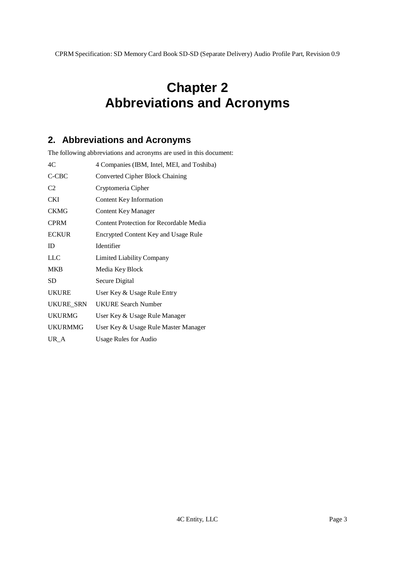## **Chapter 2 Abbreviations and Acronyms**

## **2. Abbreviations and Acronyms**

The following abbreviations and acronyms are used in this document:

| AC             | 4 Companies (IBM, Intel, MEI, and Toshiba)     |
|----------------|------------------------------------------------|
| C-CBC          | Converted Cipher Block Chaining                |
| C <sub>2</sub> | Cryptomeria Cipher                             |
| CKI            | Content Key Information                        |
| <b>CKMG</b>    | Content Key Manager                            |
| <b>CPRM</b>    | <b>Content Protection for Recordable Media</b> |
| <b>ECKUR</b>   | Encrypted Content Key and Usage Rule           |
| ID             | Identifier                                     |
| LLC            | Limited Liability Company                      |
| MKB            | Media Key Block                                |
| SD             | Secure Digital                                 |
| <b>UKURE</b>   | User Key & Usage Rule Entry                    |
| UKURE_SRN      | <b>UKURE Search Number</b>                     |
| <b>UKURMG</b>  | User Key & Usage Rule Manager                  |
| <b>UKURMMG</b> | User Key & Usage Rule Master Manager           |
| UR A           | <b>Usage Rules for Audio</b>                   |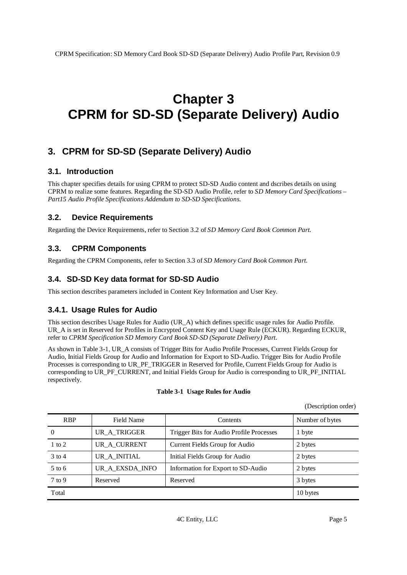## **Chapter 3 CPRM for SD-SD (Separate Delivery) Audio**

## **3. CPRM for SD-SD (Separate Delivery) Audio**

### **3.1. Introduction**

This chapter specifies details for using CPRM to protect SD-SD Audio content and dscribes details on using CPRM to realize some features. Regarding the SD-SD Audio Profile, refer to *SD Memory Card Specifications – Part15 Audio Profile Specifications Addendum to SD-SD Specifications*.

## **3.2. Device Requirements**

Regarding the Device Requirements, refer to Section 3.2 of *SD Memory Card Book Common Part*.

## **3.3. CPRM Components**

Regarding the CPRM Components, refer to Section 3.3 of *SD Memory Card Book Common Part*.

## **3.4. SD-SD Key data format for SD-SD Audio**

This section describes parameters included in Content Key Information and User Key.

### **3.4.1. Usage Rules for Audio**

This section describes Usage Rules for Audio (UR\_A) which defines specific usage rules for Audio Profile. UR\_A is set in Reserved for Profiles in Encrypted Content Key and Usage Rule (ECKUR). Regarding ECKUR, refer to *CPRM Specification SD Memory Card Book SD-SD (Separate Delivery) Part*.

As shown in Table 3-1, UR\_A consists of Trigger Bits for Audio Profile Processes, Current Fields Group for Audio, Initial Fields Group for Audio and Information for Export to SD-Audio. Trigger Bits for Audio Profile Processes is corresponding to UR\_PF\_TRIGGER in Reserved for Profile, Current Fields Group for Audio is corresponding to UR\_PF\_CURRENT, and Initial Fields Group for Audio is corresponding to UR\_PF\_INITIAL respectively.

#### **Table 3-1 Usage Rules for Audio**

(Description order)

| <b>RBP</b> | Field Name      | Contents                                 | Number of bytes |
|------------|-----------------|------------------------------------------|-----------------|
| $\theta$   | UR A TRIGGER    | Trigger Bits for Audio Profile Processes | 1 byte          |
| $1$ to $2$ | UR A CURRENT    | Current Fields Group for Audio           | 2 bytes         |
| $3$ to $4$ | UR A INITIAL    | Initial Fields Group for Audio           | 2 bytes         |
| $5$ to 6   | UR A EXSDA INFO | Information for Export to SD-Audio       | 2 bytes         |
| $7$ to 9   | Reserved        | Reserved                                 | 3 bytes         |
| Total      |                 |                                          | 10 bytes        |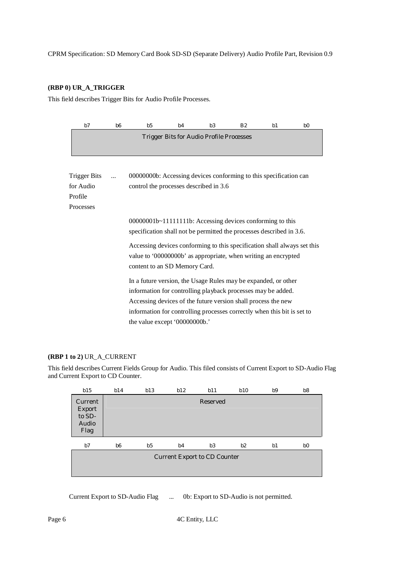#### **(RBP 0) UR\_A\_TRIGGER**

This field describes Trigger Bits for Audio Profile Processes.

| b7                                                       | b <sub>6</sub> | b <sub>5</sub>                                                                                                                                                                                                                                                                                               | b4 | b3                                              | B2 | b1 | b <sub>0</sub> |  |
|----------------------------------------------------------|----------------|--------------------------------------------------------------------------------------------------------------------------------------------------------------------------------------------------------------------------------------------------------------------------------------------------------------|----|-------------------------------------------------|----|----|----------------|--|
|                                                          |                |                                                                                                                                                                                                                                                                                                              |    | <b>Trigger Bits for Audio Profile Processes</b> |    |    |                |  |
| <b>Trigger Bits</b><br>for Audio<br>Profile<br>Processes | $\cdots$       | 00000000b: Accessing devices conforming to this specification can<br>control the processes described in 3.6                                                                                                                                                                                                  |    |                                                 |    |    |                |  |
|                                                          |                | 00000001b~111111111b: Accessing devices conforming to this<br>specification shall not be permitted the processes described in 3.6.                                                                                                                                                                           |    |                                                 |    |    |                |  |
|                                                          |                | Accessing devices conforming to this specification shall always set this<br>value to '00000000b' as appropriate, when writing an encrypted<br>content to an SD Memory Card.                                                                                                                                  |    |                                                 |    |    |                |  |
|                                                          |                | In a future version, the Usage Rules may be expanded, or other<br>information for controlling playback processes may be added.<br>Accessing devices of the future version shall process the new<br>information for controlling processes correctly when this bit is set to<br>the value except '000000000b.' |    |                                                 |    |    |                |  |

#### **(RBP 1 to 2)** UR\_A\_CURRENT

This field describes Current Fields Group for Audio. This filed consists of Current Export to SD-Audio Flag and Current Export to CD Counter.



Current Export to SD-Audio Flag ... 0b: Export to SD-Audio is not permitted.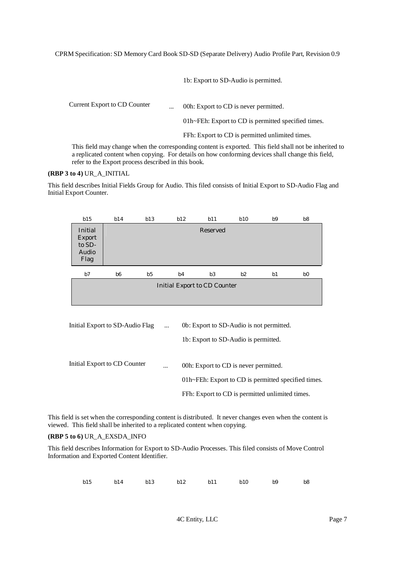1b: Export to SD-Audio is permitted.

| Current Export to CD Counter | 00h: Export to CD is never permitted.               |  |
|------------------------------|-----------------------------------------------------|--|
|                              | 01h~FEh: Export to CD is permitted specified times. |  |
|                              | FFh: Export to CD is permitted unlimited times.     |  |

This field may change when the corresponding content is exported. This field shall not be inherited to a replicated content when copying. For details on how conforming devices shall change this field, refer to the Export process described in this book*.*

#### **(RBP 3 to 4)** UR\_A\_INITIAL

This field describes Initial Fields Group for Audio. This filed consists of Initial Export to SD-Audio Flag and Initial Export Counter.

| b15                                          | b14 | b13 | b12 | b11                                 | b10            | b <sub>9</sub> | b8             |
|----------------------------------------------|-----|-----|-----|-------------------------------------|----------------|----------------|----------------|
| Initial<br>Export<br>to SD-<br>Audio<br>Flag |     |     |     | Reserved                            |                |                |                |
| b7                                           | b6  | b5  | b4  | b <sub>3</sub>                      | b <sub>2</sub> | b1             | b <sub>0</sub> |
|                                              |     |     |     | <b>Initial Export to CD Counter</b> |                |                |                |
|                                              |     |     |     |                                     |                |                |                |

| Initial Export to SD-Audio Flag | $\ddotsc$ | 0b: Export to SD-Audio is not permitted.                                                     |
|---------------------------------|-----------|----------------------------------------------------------------------------------------------|
|                                 |           | 1b: Export to SD-Audio is permitted.                                                         |
| Initial Export to CD Counter    | $\ddotsc$ | 00h: Export to CD is never permitted.<br>01h~FEh: Export to CD is permitted specified times. |
|                                 |           | FFh: Export to CD is permitted unlimited times.                                              |

This field is set when the corresponding content is distributed. It never changes even when the content is viewed. This field shall be inherited to a replicated content when copying.

#### **(RBP 5 to 6)** UR\_A\_EXSDA\_INFO

This field describes Information for Export to SD-Audio Processes. This filed consists of Move Control Information and Exported Content Identifier.

b15 b14 b13 b12 b11 b10 b9 b8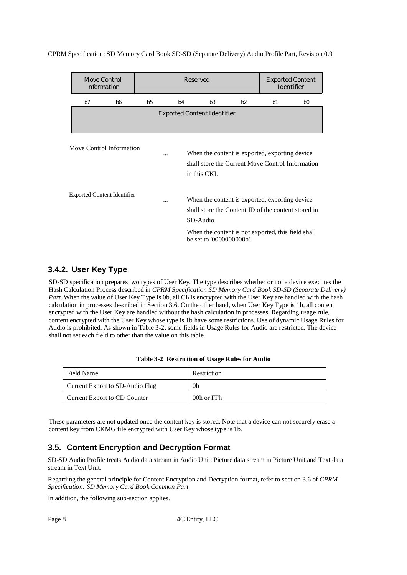| Move Control<br>Information |                                    | Reserved       |    |                                                                                                                                                                                                       |    | <b>Exported Content</b><br>Identifier |                |
|-----------------------------|------------------------------------|----------------|----|-------------------------------------------------------------------------------------------------------------------------------------------------------------------------------------------------------|----|---------------------------------------|----------------|
| b7                          | b6                                 | b <sub>5</sub> | b4 | b3                                                                                                                                                                                                    | h2 | b1                                    | b <sub>0</sub> |
|                             |                                    |                |    | <b>Exported Content Identifier</b>                                                                                                                                                                    |    |                                       |                |
|                             |                                    |                |    |                                                                                                                                                                                                       |    |                                       |                |
|                             | Move Control Information           |                |    | When the content is exported, exporting device<br>shall store the Current Move Control Information<br>in this CKI.                                                                                    |    |                                       |                |
|                             | <b>Exported Content Identifier</b> |                |    | When the content is exported, exporting device<br>shall store the Content ID of the content stored in<br>SD-Audio.<br>When the content is not exported, this field shall<br>be set to '00000000000b'. |    |                                       |                |

### **3.4.2. User Key Type**

SD-SD specification prepares two types of User Key. The type describes whether or not a device executes the Hash Calculation Process described in *CPRM Specification SD Memory Card Book SD-SD (Separate Delivery) Part*. When the value of User Key Type is 0b, all CKIs encrypted with the User Key are handled with the hash calculation in processes described in Section 3.6. On the other hand, when User Key Type is 1b, all content encrypted with the User Key are handled without the hash calculation in processes. Regarding usage rule, content encrypted with the User Key whose type is 1b have some restrictions. Use of dynamic Usage Rules for Audio is prohibited. As shown in Table 3-2, some fields in Usage Rules for Audio are restricted. The device shall not set each field to other than the value on this table.

|  | Table 3-2 Restriction of Usage Rules for Audio |  |  |  |  |
|--|------------------------------------------------|--|--|--|--|
|--|------------------------------------------------|--|--|--|--|

| Field Name                      | Restriction    |
|---------------------------------|----------------|
| Current Export to SD-Audio Flag | 0 <sub>b</sub> |
| Current Export to CD Counter    | 00h or FFh     |

These parameters are not updated once the content key is stored. Note that a device can not securely erase a content key from CKMG file encrypted with User Key whose type is 1b.

### **3.5. Content Encryption and Decryption Format**

SD-SD Audio Profile treats Audio data stream in Audio Unit, Picture data stream in Picture Unit and Text data stream in Text Unit.

Regarding the general principle for Content Encryption and Decryption format, refer to section 3.6 of *CPRM Specification: SD Memory Card Book Common Part.*

In addition, the following sub-section applies.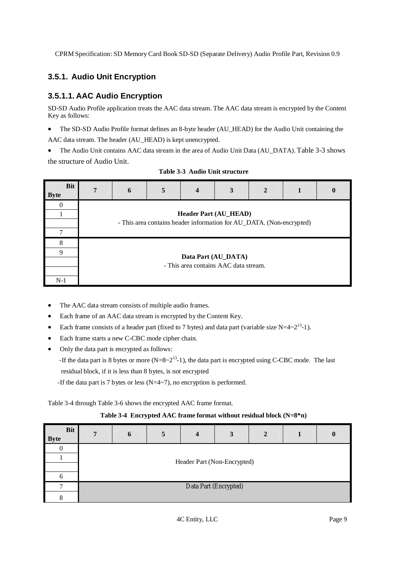## **3.5.1. Audio Unit Encryption**

## **3.5.1.1. AAC Audio Encryption**

SD-SD Audio Profile application treats the AAC data stream. The AAC data stream is encrypted by the Content Key as follows:

· The SD-SD Audio Profile format defines an 8-byte header (AU\_HEAD) for the Audio Unit containing the

AAC data stream. The header (AU\_HEAD) is kept unencrypted.

• The Audio Unit contains AAC data stream in the area of Audio Unit Data (AU\_DATA). Table 3-3 shows the structure of Audio Unit.

| <b>Bit</b><br><b>Byte</b> |                              | 6 | 5 | 4                                                                    | 3 |  |  |  |  |  |  |
|---------------------------|------------------------------|---|---|----------------------------------------------------------------------|---|--|--|--|--|--|--|
|                           |                              |   |   |                                                                      |   |  |  |  |  |  |  |
|                           | <b>Header Part (AU_HEAD)</b> |   |   |                                                                      |   |  |  |  |  |  |  |
|                           |                              |   |   | - This area contains header information for AU_DATA. (Non-encrypted) |   |  |  |  |  |  |  |
|                           |                              |   |   |                                                                      |   |  |  |  |  |  |  |
|                           |                              |   |   |                                                                      |   |  |  |  |  |  |  |
| Q                         |                              |   |   | Data Part (AU_DATA)                                                  |   |  |  |  |  |  |  |
|                           |                              |   |   | - This area contains AAC data stream.                                |   |  |  |  |  |  |  |
|                           |                              |   |   |                                                                      |   |  |  |  |  |  |  |
| $N-1$                     |                              |   |   |                                                                      |   |  |  |  |  |  |  |

**Table 3-3 Audio Unit structure**

- The AAC data stream consists of multiple audio frames.
- Each frame of an AAC data stream is encrypted by the Content Key.
- Each frame consists of a header part (fixed to 7 bytes) and data part (variable size  $N=4~2^{13}$ -1).
- Each frame starts a new C-CBC mode cipher chain.
- · Only the data part is encrypted as follows:

-If the data part is 8 bytes or more  $(N=8\text{--}2^{13}$ -1), the data part is encrypted using C-CBC mode. The last

residual block, if it is less than 8 bytes, is not encrypted

-If the data part is 7 bytes or less (N=4~7), no encryption is performed.

Table 3-4 through Table 3-6 shows the encrypted AAC frame format.

#### **Table 3-4 Encrypted AAC frame format without residual block (N=8\*n)**

| <b>Bit</b><br><b>Byte</b> | 7                           | 6 |  |                       |  |  |  |  |  |  |  |
|---------------------------|-----------------------------|---|--|-----------------------|--|--|--|--|--|--|--|
|                           |                             |   |  |                       |  |  |  |  |  |  |  |
|                           | Header Part (Non-Encrypted) |   |  |                       |  |  |  |  |  |  |  |
|                           |                             |   |  |                       |  |  |  |  |  |  |  |
|                           |                             |   |  |                       |  |  |  |  |  |  |  |
|                           |                             |   |  | Data Part (Encrypted) |  |  |  |  |  |  |  |
|                           |                             |   |  |                       |  |  |  |  |  |  |  |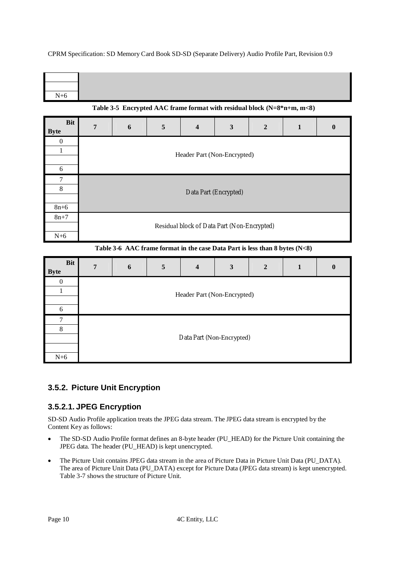| $N+6$ |  |
|-------|--|

**Table 3-5 Encrypted AAC frame format with residual block (N=8\*n+m, m<8)**

| <b>Bit</b><br><b>Byte</b> | $\overline{7}$        | 6                           | 5 | $\overline{\mathbf{4}}$                     | 3 | $\overline{2}$ | 1 | 0 |  |  |  |  |
|---------------------------|-----------------------|-----------------------------|---|---------------------------------------------|---|----------------|---|---|--|--|--|--|
| $\Omega$                  |                       |                             |   |                                             |   |                |   |   |  |  |  |  |
|                           |                       | Header Part (Non-Encrypted) |   |                                             |   |                |   |   |  |  |  |  |
|                           |                       |                             |   |                                             |   |                |   |   |  |  |  |  |
| 6                         |                       |                             |   |                                             |   |                |   |   |  |  |  |  |
| 7                         |                       |                             |   |                                             |   |                |   |   |  |  |  |  |
| 8                         | Data Part (Encrypted) |                             |   |                                             |   |                |   |   |  |  |  |  |
|                           |                       |                             |   |                                             |   |                |   |   |  |  |  |  |
| $8n+6$                    |                       |                             |   |                                             |   |                |   |   |  |  |  |  |
| $8n + 7$                  |                       |                             |   |                                             |   |                |   |   |  |  |  |  |
|                           |                       |                             |   | Residual block of Data Part (Non-Encrypted) |   |                |   |   |  |  |  |  |
| $N+6$                     |                       |                             |   |                                             |   |                |   |   |  |  |  |  |

**Table 3-6 AAC frame format in the case Data Part is less than 8 bytes (N<8)**

| <b>Bit</b><br><b>Byte</b> | 7                           | 6 | 5 | $\overline{\mathbf{4}}$   | 3 | $\overline{2}$ | 1 | $\boldsymbol{0}$ |  |  |  |
|---------------------------|-----------------------------|---|---|---------------------------|---|----------------|---|------------------|--|--|--|
| $\Omega$                  |                             |   |   |                           |   |                |   |                  |  |  |  |
|                           | Header Part (Non-Encrypted) |   |   |                           |   |                |   |                  |  |  |  |
| 6                         |                             |   |   |                           |   |                |   |                  |  |  |  |
| ⇁                         |                             |   |   |                           |   |                |   |                  |  |  |  |
| 8                         |                             |   |   |                           |   |                |   |                  |  |  |  |
|                           |                             |   |   | Data Part (Non-Encrypted) |   |                |   |                  |  |  |  |
|                           |                             |   |   |                           |   |                |   |                  |  |  |  |
| $N+6$                     |                             |   |   |                           |   |                |   |                  |  |  |  |

## **3.5.2. Picture Unit Encryption**

## **3.5.2.1. JPEG Encryption**

SD-SD Audio Profile application treats the JPEG data stream. The JPEG data stream is encrypted by the Content Key as follows:

- The SD-SD Audio Profile format defines an 8-byte header (PU\_HEAD) for the Picture Unit containing the JPEG data. The header (PU\_HEAD) is kept unencrypted.
- The Picture Unit contains JPEG data stream in the area of Picture Data in Picture Unit Data (PU\_DATA). The area of Picture Unit Data (PU\_DATA) except for Picture Data (JPEG data stream) is kept unencrypted. Table 3-7 shows the structure of Picture Unit.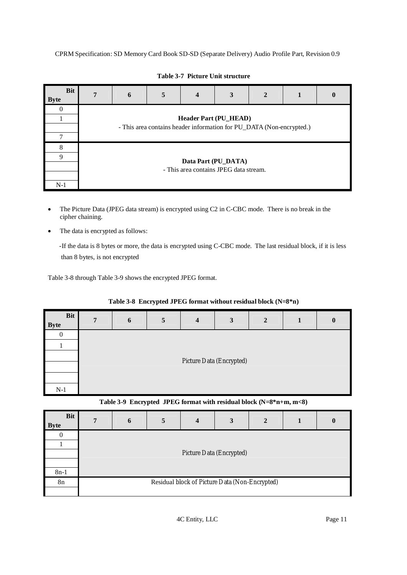| <b>Bit</b><br><b>Byte</b> | 7 | 6                                                                                                    |  |                                        |  |  |  |  |  |  |  |  |
|---------------------------|---|------------------------------------------------------------------------------------------------------|--|----------------------------------------|--|--|--|--|--|--|--|--|
|                           |   | <b>Header Part (PU_HEAD)</b><br>- This area contains header information for PU_DATA (Non-encrypted.) |  |                                        |  |  |  |  |  |  |  |  |
|                           |   |                                                                                                      |  |                                        |  |  |  |  |  |  |  |  |
| $\circ$                   |   |                                                                                                      |  |                                        |  |  |  |  |  |  |  |  |
|                           |   |                                                                                                      |  | Data Part (PU_DATA)                    |  |  |  |  |  |  |  |  |
|                           |   |                                                                                                      |  | - This area contains JPEG data stream. |  |  |  |  |  |  |  |  |
|                           |   |                                                                                                      |  |                                        |  |  |  |  |  |  |  |  |
| $N-1$                     |   |                                                                                                      |  |                                        |  |  |  |  |  |  |  |  |

#### **Table 3-7 Picture Unit structure**

- The Picture Data (JPEG data stream) is encrypted using C2 in C-CBC mode. There is no break in the cipher chaining.
- The data is encrypted as follows:

 -If the data is 8 bytes or more, the data is encrypted using C-CBC mode. The last residual block, if it is less than 8 bytes, is not encrypted

Table 3-8 through Table 3-9 shows the encrypted JPEG format.

| <b>Bit</b><br><b>Byte</b> | 7                        | 6 | 5 | $\angle$ | 3 | 2 |  |  |  |  |
|---------------------------|--------------------------|---|---|----------|---|---|--|--|--|--|
|                           |                          |   |   |          |   |   |  |  |  |  |
|                           |                          |   |   |          |   |   |  |  |  |  |
|                           |                          |   |   |          |   |   |  |  |  |  |
|                           | Picture Data (Encrypted) |   |   |          |   |   |  |  |  |  |
|                           |                          |   |   |          |   |   |  |  |  |  |
| $N-1$                     |                          |   |   |          |   |   |  |  |  |  |

#### **Table 3-8 Encrypted JPEG format without residual block (N=8\*n)**

## **Table 3-9 Encrypted JPEG format with residual block (N=8\*n+m, m<8)**

| <b>Bit</b><br><b>Byte</b> | 7                        | 6 |  | 4                                              | 3 | 2 |  |  |  |  |  |
|---------------------------|--------------------------|---|--|------------------------------------------------|---|---|--|--|--|--|--|
|                           |                          |   |  |                                                |   |   |  |  |  |  |  |
|                           |                          |   |  |                                                |   |   |  |  |  |  |  |
|                           | Picture Data (Encrypted) |   |  |                                                |   |   |  |  |  |  |  |
|                           |                          |   |  |                                                |   |   |  |  |  |  |  |
| $8n-1$                    |                          |   |  |                                                |   |   |  |  |  |  |  |
| 8n                        |                          |   |  | Residual block of Picture Data (Non-Encrypted) |   |   |  |  |  |  |  |
|                           |                          |   |  |                                                |   |   |  |  |  |  |  |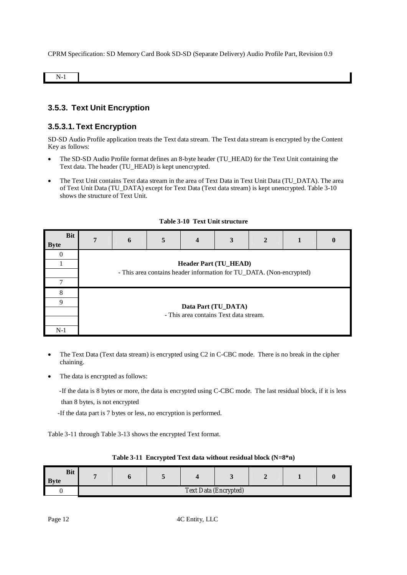N-1

### **3.5.3. Text Unit Encryption**

#### **3.5.3.1. Text Encryption**

SD-SD Audio Profile application treats the Text data stream. The Text data stream is encrypted by the Content Key as follows:

- The SD-SD Audio Profile format defines an 8-byte header (TU\_HEAD) for the Text Unit containing the Text data. The header (TU\_HEAD) is kept unencrypted.
- · The Text Unit contains Text data stream in the area of Text Data in Text Unit Data (TU\_DATA). The area of Text Unit Data (TU\_DATA) except for Text Data (Text data stream) is kept unencrypted. Table 3-10 shows the structure of Text Unit.

| <b>Bit</b><br><b>Byte</b> | 7 | 6 | 5 |                                                                      | 3                   | 2 |  |
|---------------------------|---|---|---|----------------------------------------------------------------------|---------------------|---|--|
|                           |   |   |   |                                                                      |                     |   |  |
|                           |   |   |   | <b>Header Part (TU_HEAD)</b>                                         |                     |   |  |
|                           |   |   |   | - This area contains header information for TU_DATA. (Non-encrypted) |                     |   |  |
|                           |   |   |   |                                                                      |                     |   |  |
| 8                         |   |   |   |                                                                      |                     |   |  |
|                           |   |   |   |                                                                      | Data Part (TU_DATA) |   |  |
|                           |   |   |   | - This area contains Text data stream.                               |                     |   |  |
|                           |   |   |   |                                                                      |                     |   |  |
| $N-1$                     |   |   |   |                                                                      |                     |   |  |

#### **Table 3-10 Text Unit structure**

- The Text Data (Text data stream) is encrypted using C2 in C-CBC mode. There is no break in the cipher chaining.
- The data is encrypted as follows:
	- -If the data is 8 bytes or more, the data is encrypted using C-CBC mode. The last residual block, if it is less than 8 bytes, is not encrypted
	- -If the data part is 7 bytes or less, no encryption is performed.

Table 3-11 through Table 3-13 shows the encrypted Text format.

| Table 3-11 Encrypted Text data without residual block $(N=8*n)$ |  |  |  |  |
|-----------------------------------------------------------------|--|--|--|--|
|-----------------------------------------------------------------|--|--|--|--|

| <b>Bit</b><br><b>Byte</b> |  |                              |  |  |  |  |  |  |  |
|---------------------------|--|------------------------------|--|--|--|--|--|--|--|
|                           |  | <b>Text Data (Encrypted)</b> |  |  |  |  |  |  |  |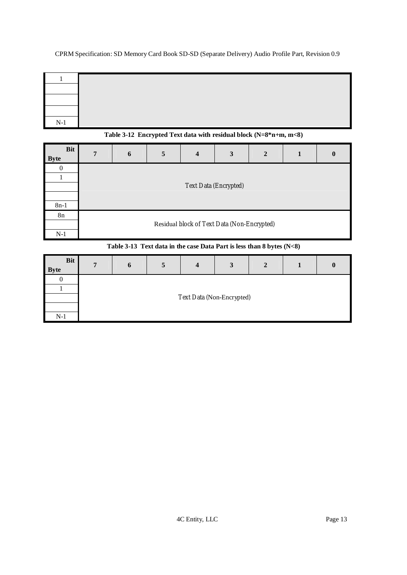| $N-1$ |  |
|-------|--|

#### **Table 3-12 Encrypted Text data with residual block (N=8\*n+m, m<8)**

| <b>Bit</b><br><b>Byte</b> | 7                                           | 6 | 5 | $\overline{\mathbf{4}}$ | 3 | 2 | 1 | $\boldsymbol{0}$ |  |  |
|---------------------------|---------------------------------------------|---|---|-------------------------|---|---|---|------------------|--|--|
| 0                         | <b>Text Data (Encrypted)</b>                |   |   |                         |   |   |   |                  |  |  |
|                           |                                             |   |   |                         |   |   |   |                  |  |  |
|                           |                                             |   |   |                         |   |   |   |                  |  |  |
|                           |                                             |   |   |                         |   |   |   |                  |  |  |
| $8n-1$                    |                                             |   |   |                         |   |   |   |                  |  |  |
| 8n                        | Residual block of Text Data (Non-Encrypted) |   |   |                         |   |   |   |                  |  |  |
|                           |                                             |   |   |                         |   |   |   |                  |  |  |
| $N-1$                     |                                             |   |   |                         |   |   |   |                  |  |  |

#### **Table 3-13 Text data in the case Data Part is less than 8 bytes (N<8)**

| <b>Bit</b><br><b>Byte</b> | 7                         | 6 |  | Δ | 3 | $\overline{2}$ |  |  |  |  |
|---------------------------|---------------------------|---|--|---|---|----------------|--|--|--|--|
|                           |                           |   |  |   |   |                |  |  |  |  |
|                           | Text Data (Non-Encrypted) |   |  |   |   |                |  |  |  |  |
|                           |                           |   |  |   |   |                |  |  |  |  |
|                           |                           |   |  |   |   |                |  |  |  |  |
| $N-1$                     |                           |   |  |   |   |                |  |  |  |  |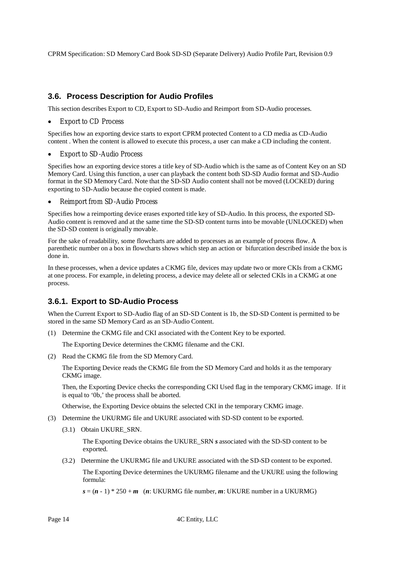#### **3.6. Process Description for Audio Profiles**

This section describes Export to CD, Export to SD-Audio and Reimport from SD-Audio processes.

#### **Export to CD Process**

Specifies how an exporting device starts to export CPRM protected Content to a CD media as CD-Audio content . When the content is allowed to execute this process, a user can make a CD including the content.

#### **Export to SD-Audio Process**

Specifies how an exporting device stores a title key of SD-Audio which is the same as of Content Key on an SD Memory Card. Using this function, a user can playback the content both SD-SD Audio format and SD-Audio format in the SD Memory Card. Note that the SD-SD Audio content shall not be moved (LOCKED) during exporting to SD-Audio because the copied content is made.

#### Reimport from SD-Audio Process

Specifies how a reimporting device erases exported title key of SD-Audio. In this process, the exported SD-Audio content is removed and at the same time the SD-SD content turns into be movable (UNLOCKED) when the SD-SD content is originally movable.

For the sake of readability, some flowcharts are added to processes as an example of process flow. A parenthetic number on a box in flowcharts shows which step an action or bifurcation described inside the box is done in.

In these processes, when a device updates a CKMG file, devices may update two or more CKIs from a CKMG at one process. For example, in deleting process, a device may delete all or selected CKIs in a CKMG at one process.

### **3.6.1. Export to SD-Audio Process**

When the Current Export to SD-Audio flag of an SD-SD Content is 1b, the SD-SD Content is permitted to be stored in the same SD Memory Card as an SD-Audio Content.

(1) Determine the CKMG file and CKI associated with the Content Key to be exported.

The Exporting Device determines the CKMG filename and the CKI.

(2) Read the CKMG file from the SD Memory Card.

The Exporting Device reads the CKMG file from the SD Memory Card and holds it as the temporary CKMG image.

Then, the Exporting Device checks the corresponding CKI Used flag in the temporary CKMG image. If it is equal to '0b,' the process shall be aborted.

Otherwise, the Exporting Device obtains the selected CKI in the temporary CKMG image.

- (3) Determine the UKURMG file and UKURE associated with SD-SD content to be exported.
	- (3.1) Obtain UKURE\_SRN.

The Exporting Device obtains the UKURE\_SRN *s* associated with the SD-SD content to be exported.

(3.2) Determine the UKURMG file and UKURE associated with the SD-SD content to be exported.

The Exporting Device determines the UKURMG filename and the UKURE using the following formula:

 $s = (n - 1) * 250 + m$  (*n*: UKURMG file number, *m*: UKURE number in a UKURMG)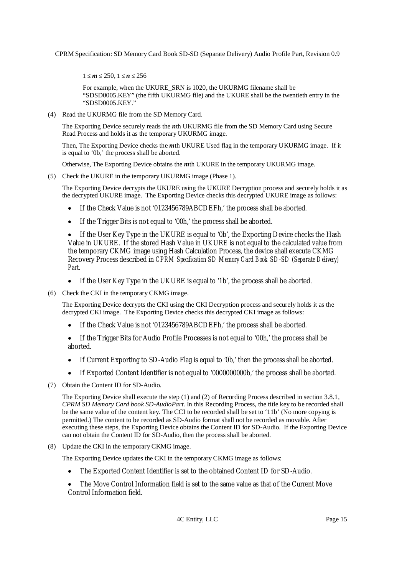$1 \le m \le 250, 1 \le n \le 256$ 

For example, when the UKURE\_SRN is 1020, the UKURMG filename shall be "SDSD0005.KEY" (the fifth UKURMG file) and the UKURE shall be the twentieth entry in the "SDSD0005.KEY."

(4) Read the UKURMG file from the SD Memory Card.

The Exporting Device securely reads the *n*th UKURMG file from the SD Memory Card using Secure Read Process and holds it as the temporary UKURMG image.

Then, The Exporting Device checks the *m*th UKURE Used flag in the temporary UKURMG image. If it is equal to '0b,' the process shall be aborted.

Otherwise, The Exporting Device obtains the *m*th UKURE in the temporary UKURMG image.

(5) Check the UKURE in the temporary UKURMG image (Phase 1).

The Exporting Device decrypts the UKURE using the UKURE Decryption process and securely holds it as the decrypted UKURE image. The Exporting Device checks this decrypted UKURE image as follows:

- If the Check Value is not '0123456789ABCDEFh,' the process shall be aborted.
- If the Trigger Bits is not equal to '00h,' the process shall be aborted.

If the User Key Type in the UKURE is equal to '0b', the Exporting Device checks the Hash Value in UKURE. If the stored Hash Value in UKURE is not equal to the calculated value from the temporary CKMG image using Hash Calculation Process, the device shall execute CKMG Recovery Process described in *CPRM Specification SD Memory Card Book SD-SD (Separate Delivery) Part*.

- If the User Key Type in the UKURE is equal to '1b', the process shall be aborted.
- (6) Check the CKI in the temporary CKMG image.

The Exporting Device decrypts the CKI using the CKI Decryption process and securely holds it as the decrypted CKI image. The Exporting Device checks this decrypted CKI image as follows:

• If the Check Value is not '0123456789ABCDEFh,' the process shall be aborted.

• If the Trigger Bits for Audio Profile Processes is not equal to '00h,' the process shall be aborted.

- If Current Exporting to SD-Audio Flag is equal to '0b,' then the process shall be aborted.
- · If Exported Content Identifier is not equal to '0000000000b,' the process shall be aborted.
- (7) Obtain the Content ID for SD-Audio.

The Exporting Device shall execute the step (1) and (2) of Recording Process described in section 3.8.1, *CPRM SD Memory Card book SD-AudioPart*. In this Recording Process, the title key to be recorded shall be the same value of the content key. The CCI to be recorded shall be set to '11b' (No more copying is permitted.) The content to be recorded as SD-Audio format shall not be recorded as movable. After executing these steps, the Exporting Device obtains the Content ID for SD-Audio. If the Exporting Device can not obtain the Content ID for SD-Audio, then the process shall be aborted.

(8) Update the CKI in the temporary CKMG image.

The Exporting Device updates the CKI in the temporary CKMG image as follows:

- The Exported Content Identifier is set to the obtained Content ID for SD-Audio.
- · The Move Control Information field is set to the same value as that of the Current Move Control Information field.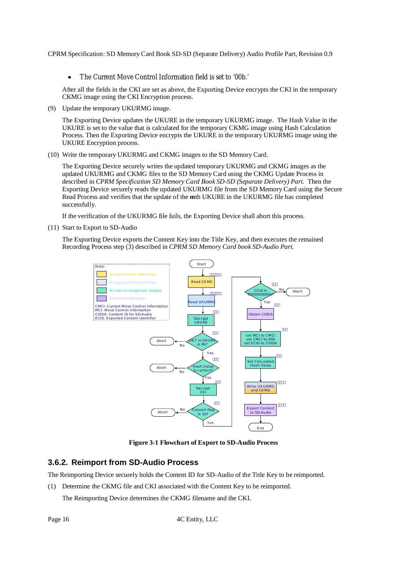#### The Current Move Control Information field is set to '00b.'

After all the fields in the CKI are set as above, the Exporting Device encrypts the CKI in the temporary CKMG image using the CKI Encryption process.

(9) Update the temporary UKURMG image.

The Exporting Device updates the UKURE in the temporary UKURMG image. The Hash Value in the UKURE is set to the value that is calculated for the temporary CKMG image using Hash Calculation Process. Then the Exporting Device encrypts the UKURE in the temporary UKURMG image using the UKURE Encryption process.

(10) Write the temporary UKURMG and CKMG images to the SD Memory Card.

The Exporting Device securely writes the updated temporary UKURMG and CKMG images as the updated UKURMG and CKMG files to the SD Memory Card using the CKMG Update Process in described in *CPRM Specification SD Memory Card Book SD-SD (Separate Delivery) Part*. Then the Exporting Device securely reads the updated UKURMG file from the SD Memory Card using the Secure Read Process and verifies that the update of the *m*th UKURE in the UKURMG file has completed successfully.

If the verification of the UKURMG file fails, the Exporting Device shall abort this process.

(11) Start to Export to SD-Audio

The Exporting Device exports the Content Key into the Title Key, and then executes the remained Recording Process step (3) described in *CPRM SD Memory Card book SD-Audio Part*.



**Figure 3-1 Flowchart of Export to SD-Audio Process**

### **3.6.2. Reimport from SD-Audio Process**

The Reimporting Device securely holds the Content ID for SD-Audio of the Title Key to be reimported.

(1) Determine the CKMG file and CKI associated with the Content Key to be reimported.

The Reimporting Device determines the CKMG filename and the CKI.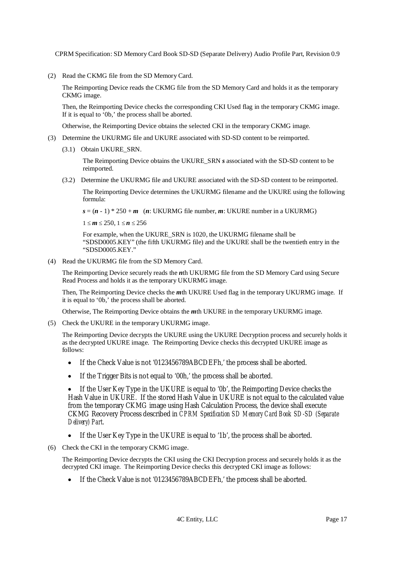(2) Read the CKMG file from the SD Memory Card.

The Reimporting Device reads the CKMG file from the SD Memory Card and holds it as the temporary CKMG image.

Then, the Reimporting Device checks the corresponding CKI Used flag in the temporary CKMG image. If it is equal to '0b,' the process shall be aborted.

Otherwise, the Reimporting Device obtains the selected CKI in the temporary CKMG image.

- (3) Determine the UKURMG file and UKURE associated with SD-SD content to be reimported.
	- (3.1) Obtain UKURE\_SRN.

The Reimporting Device obtains the UKURE\_SRN *s* associated with the SD-SD content to be reimported.

(3.2) Determine the UKURMG file and UKURE associated with the SD-SD content to be reimported.

The Reimporting Device determines the UKURMG filename and the UKURE using the following formula:

 $s = (n - 1) * 250 + m$  (*n*: UKURMG file number, *m*: UKURE number in a UKURMG)

 $1 \le m \le 250, 1 \le n \le 256$ 

For example, when the UKURE\_SRN is 1020, the UKURMG filename shall be "SDSD0005.KEY" (the fifth UKURMG file) and the UKURE shall be the twentieth entry in the "SDSD0005.KEY."

(4) Read the UKURMG file from the SD Memory Card.

The Reimporting Device securely reads the *n*th UKURMG file from the SD Memory Card using Secure Read Process and holds it as the temporary UKURMG image.

Then, The Reimporting Device checks the *m*th UKURE Used flag in the temporary UKURMG image. If it is equal to '0b,' the process shall be aborted.

Otherwise, The Reimporting Device obtains the *m*th UKURE in the temporary UKURMG image.

(5) Check the UKURE in the temporary UKURMG image.

The Reimporting Device decrypts the UKURE using the UKURE Decryption process and securely holds it as the decrypted UKURE image. The Reimporting Device checks this decrypted UKURE image as follows:

- If the Check Value is not '0123456789ABCDEFh,' the process shall be aborted.
- If the Trigger Bits is not equal to '00h,' the process shall be aborted.

If the User Key Type in the UKURE is equal to '0b', the Reimporting Device checks the Hash Value in UKURE. If the stored Hash Value in UKURE is not equal to the calculated value from the temporary CKMG image using Hash Calculation Process, the device shall execute CKMG Recovery Process described in *CPRM Specification SD Memory Card Book SD-SD (Separate Delivery) Part*.

- If the User Key Type in the UKURE is equal to '1b', the process shall be aborted.
- (6) Check the CKI in the temporary CKMG image.

The Reimporting Device decrypts the CKI using the CKI Decryption process and securely holds it as the decrypted CKI image. The Reimporting Device checks this decrypted CKI image as follows:

• If the Check Value is not '0123456789ABCDEFh,' the process shall be aborted.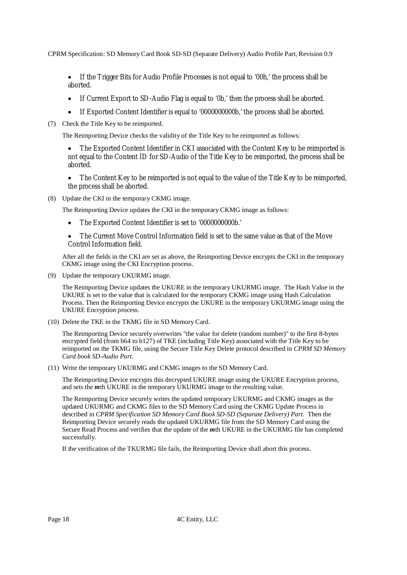· If the Trigger Bits for Audio Profile Processes is not equal to '00h,' the process shall be aborted.

- If Current Export to SD-Audio Flag is equal to '0b,' then the process shall be aborted.
- · If Exported Content Identifier is equal to '0000000000b,' the process shall be aborted.
- (7) Check the Title Key to be reimported.

The Reimporting Device checks the validity of the Title Key to be reimported as follows:

The Exported Content Identifier in CKI associated with the Content Key to be reimported is not equal to the Content ID for SD-Audio of the Title Key to be reimported, the process shall be aborted.

The Content Key to be reimported is not equal to the value of the Title Key to be reimported. the process shall be aborted.

(8) Update the CKI in the temporary CKMG image.

The Reimporting Device updates the CKI in the temporary CKMG image as follows:

- · The Exported Content Identifier is set to '0000000000b.'
- The Current Move Control Information field is set to the same value as that of the Move Control Information field.

After all the fields in the CKI are set as above, the Reimporting Device encrypts the CKI in the temporary CKMG image using the CKI Encryption process.

(9) Update the temporary UKURMG image.

The Reimporting Device updates the UKURE in the temporary UKURMG image. The Hash Value in the UKURE is set to the value that is calculated for the temporary CKMG image using Hash Calculation Process. Then the Reimporting Device encrypts the UKURE in the temporary UKURMG image using the UKURE Encryption process.

(10) Delete the TKE in the TKMG file in SD Memory Card.

The Reimporting Device securely overwrites "the value for delete (random number)" to the first 8-bytes encrypted field (from b64 to b127) of TKE (including Title Key) associated with the Title Key to be reimported on the TKMG file, using the Secure Title Key Delete protocol described in *CPRM SD Memory Card book SD-Audio Part.* 

(11) Write the temporary UKURMG and CKMG images to the SD Memory Card.

The Reimporting Device encrypts this decrypted UKURE image using the UKURE Encryption process, and sets the *m*th UKURE in the temporary UKURMG image to the resulting value.

The Reimporting Device securely writes the updated temporary UKURMG and CKMG images as the updated UKURMG and CKMG files to the SD Memory Card using the CKMG Update Process in described in *CPRM Specification SD Memory Card Book SD-SD (Separate Delivery) Part*. Then the Reimporting Device securely reads the updated UKURMG file from the SD Memory Card using the Secure Read Process and verifies that the update of the *m*th UKURE in the UKURMG file has completed successfully.

If the verification of the TKURMG file fails, the Reimporting Device shall abort this process.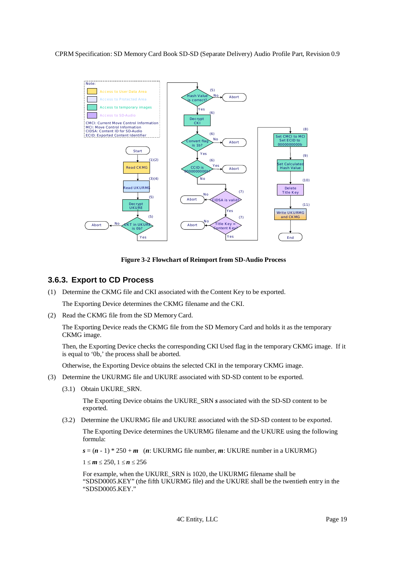

**Figure 3-2 Flowchart of Reimport from SD-Audio Process**

### **3.6.3. Export to CD Process**

(1) Determine the CKMG file and CKI associated with the Content Key to be exported.

The Exporting Device determines the CKMG filename and the CKI.

(2) Read the CKMG file from the SD Memory Card.

The Exporting Device reads the CKMG file from the SD Memory Card and holds it as the temporary CKMG image.

Then, the Exporting Device checks the corresponding CKI Used flag in the temporary CKMG image. If it is equal to '0b,' the process shall be aborted.

Otherwise, the Exporting Device obtains the selected CKI in the temporary CKMG image.

- (3) Determine the UKURMG file and UKURE associated with SD-SD content to be exported.
	- (3.1) Obtain UKURE\_SRN.

The Exporting Device obtains the UKURE\_SRN *s* associated with the SD-SD content to be exported.

(3.2) Determine the UKURMG file and UKURE associated with the SD-SD content to be exported.

The Exporting Device determines the UKURMG filename and the UKURE using the following formula:

 $s = (n - 1) * 250 + m$  (*n*: UKURMG file number, *m*: UKURE number in a UKURMG)

 $1 \le m \le 250, 1 \le n \le 256$ 

For example, when the UKURE\_SRN is 1020, the UKURMG filename shall be "SDSD0005.KEY" (the fifth UKURMG file) and the UKURE shall be the twentieth entry in the "SDSD0005.KEY."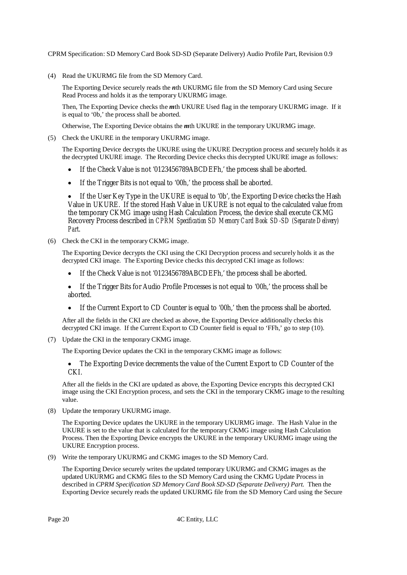(4) Read the UKURMG file from the SD Memory Card.

The Exporting Device securely reads the *n*th UKURMG file from the SD Memory Card using Secure Read Process and holds it as the temporary UKURMG image.

Then, The Exporting Device checks the *m*th UKURE Used flag in the temporary UKURMG image. If it is equal to '0b,' the process shall be aborted.

Otherwise, The Exporting Device obtains the *m*th UKURE in the temporary UKURMG image.

(5) Check the UKURE in the temporary UKURMG image.

The Exporting Device decrypts the UKURE using the UKURE Decryption process and securely holds it as the decrypted UKURE image. The Recording Device checks this decrypted UKURE image as follows:

- · If the Check Value is not '0123456789ABCDEFh,' the process shall be aborted.
- If the Trigger Bits is not equal to '00h,' the process shall be aborted.

· If the User Key Type in the UKURE is equal to '0b', the Exporting Device checks the Hash Value in UKURE. If the stored Hash Value in UKURE is not equal to the calculated value from the temporary CKMG image using Hash Calculation Process, the device shall execute CKMG Recovery Process described in *CPRM Specification SD Memory Card Book SD-SD (Separate Delivery) Part*.

(6) Check the CKI in the temporary CKMG image.

The Exporting Device decrypts the CKI using the CKI Decryption process and securely holds it as the decrypted CKI image. The Exporting Device checks this decrypted CKI image as follows:

· If the Check Value is not '0123456789ABCDEFh,' the process shall be aborted.

• If the Trigger Bits for Audio Profile Processes is not equal to '00h,' the process shall be aborted.

• If the Current Export to CD Counter is equal to '00h,' then the process shall be aborted.

After all the fields in the CKI are checked as above, the Exporting Device additionally checks this decrypted CKI image. If the Current Export to CD Counter field is equal to 'FFh,' go to step (10).

(7) Update the CKI in the temporary CKMG image.

The Exporting Device updates the CKI in the temporary CKMG image as follows:

#### · The Exporting Device decrements the value of the Current Export to CD Counter of the CKI.

After all the fields in the CKI are updated as above, the Exporting Device encrypts this decrypted CKI image using the CKI Encryption process, and sets the CKI in the temporary CKMG image to the resulting value.

(8) Update the temporary UKURMG image.

The Exporting Device updates the UKURE in the temporary UKURMG image. The Hash Value in the UKURE is set to the value that is calculated for the temporary CKMG image using Hash Calculation Process. Then the Exporting Device encrypts the UKURE in the temporary UKURMG image using the UKURE Encryption process.

(9) Write the temporary UKURMG and CKMG images to the SD Memory Card.

The Exporting Device securely writes the updated temporary UKURMG and CKMG images as the updated UKURMG and CKMG files to the SD Memory Card using the CKMG Update Process in described in *CPRM Specification SD Memory Card Book SD-SD (Separate Delivery) Part*. Then the Exporting Device securely reads the updated UKURMG file from the SD Memory Card using the Secure